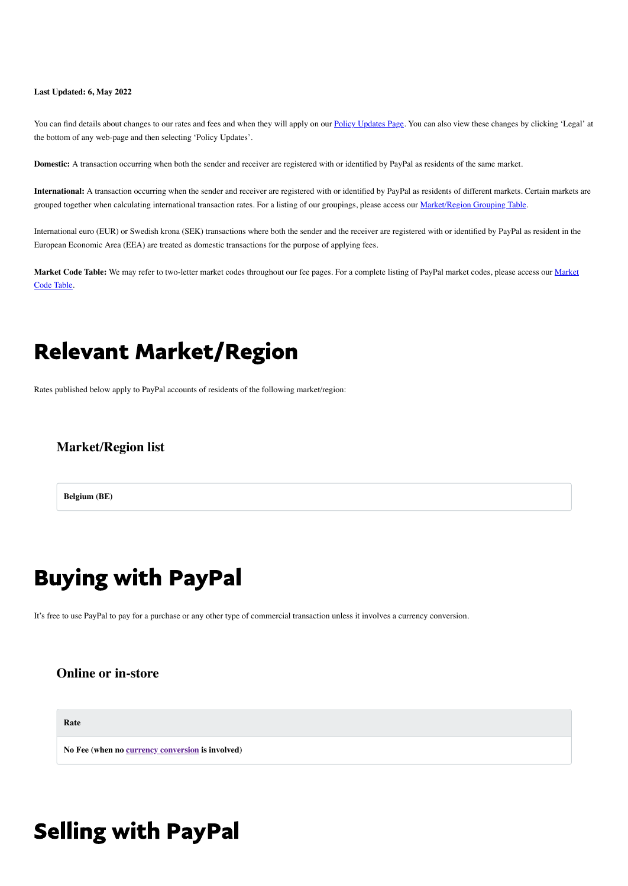#### **Last Updated: 6, May 2022**

You can find details about changes to our rates and fees and when they will apply on our [Policy Updates Page.](https://www.paypal.com/be/webapps/mpp/ua/upcoming-policies-full) You can also view these changes by clicking 'Legal' at the bottom of any web-page and then selecting 'Policy Updates'.

<span id="page-0-0"></span>**Domestic:** A transaction occurring when both the sender and receiver are registered with or identified by PayPal as residents of the same market.

**International:** A transaction occurring when the sender and receiver are registered with or identified by PayPal as residents of different markets. Certain markets are grouped together when calculating international transaction rates. For a listing of our groupings, please access our [Market/Region Grouping Table.](#page-0-0)

International euro (EUR) or Swedish krona (SEK) transactions where both the sender and the receiver are registered with or identified by PayPal as resident in the European Economic Area (EEA) are treated as domestic transactions for the purpose of applying fees.

**Market Code Table:** [We may refer to two-letter market codes throughout our fee pages. For a complete listing of PayPal market codes, please access our Market](#page-0-0) Code Table.

### Relevant Market/Region

Rates published below apply to PayPal accounts of residents of the following market/region:

#### **Market/Region list**

**Belgium (BE)**

## Buying with PayPal

It's free to use PayPal to pay for a purchase or any other type of commercial transaction unless it involves a currency conversion.

#### **Online or in-store**

**Rate**

**No Fee (when no [currency conversion](#page-1-0) is involved)**

# Selling with PayPal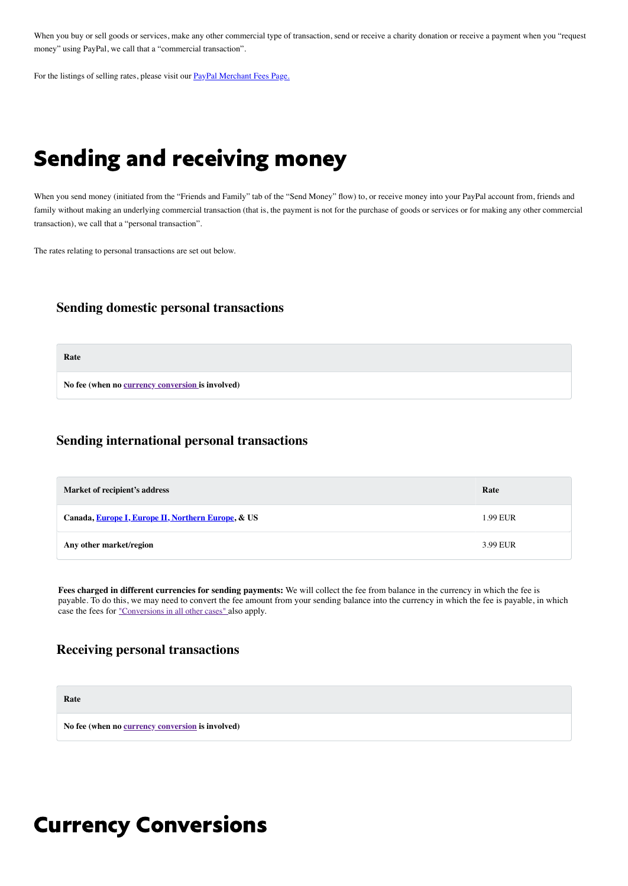When you buy or sell goods or services, make any other commercial type of transaction, send or receive a charity donation or receive a payment when you "request money" using PayPal, we call that a "commercial transaction".

For the listings of selling rates, please visit our **[PayPal Merchant Fees Page.](https://www.paypal.com/be/webapps/mpp/merchant-fees)** 

## Sending and receiving money

When you send money (initiated from the "Friends and Family" tab of the "Send Money" flow) to, or receive money into your PayPal account from, friends and family without making an underlying commercial transaction (that is, the payment is not for the purchase of goods or services or for making any other commercial transaction), we call that a "personal transaction".

The rates relating to personal transactions are set out below.

#### **Sending domestic personal transactions**

**Rate**

**No fee (when no [currency conversion i](#page-1-0)s involved)**

### **Sending international personal transactions**

| Market of recipient's address                      | Rate     |
|----------------------------------------------------|----------|
| Canada, Europe I, Europe II, Northern Europe, & US | 1.99 EUR |
| Any other market/region                            | 3.99 EUR |

**Fees charged in different currencies for sending payments:** We will collect the fee from balance in the currency in which the fee is payable. To do this, we may need to convert the fee amount from your sending balance into the currency in which the fee is payable, in which case the fees for ["Conversions in all other cases"](#page-1-0) also apply.

#### **Receiving personal transactions**

**Rate**

<span id="page-1-0"></span>**No fee (when no [currency conversion](#page-1-0) is involved)**

### Currency Conversions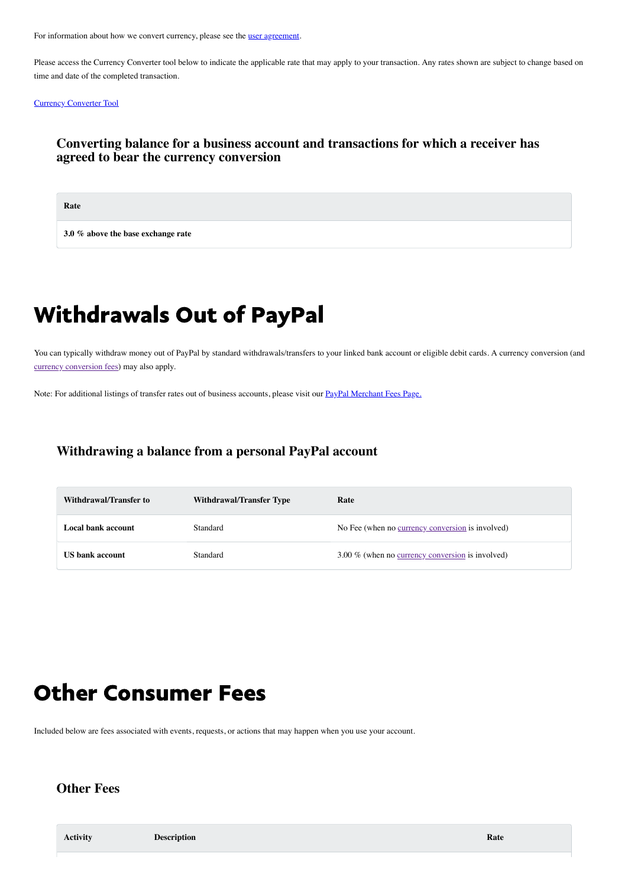For information about how we convert currency, please see the [user agreement.](https://www.paypal.com/be/webapps/mpp/ua/useragreement-full?locale.x=en_BE#currency-conversion1)

Please access the Currency Converter tool below to indicate the applicable rate that may apply to your transaction. Any rates shown are subject to change based on time and date of the completed transaction.

#### [Currency Converter Tool](https://www.paypal.com/be/smarthelp/article/faq1976)

#### **Converting balance for a business account and transactions for which a receiver has agreed to bear the currency conversion**

**Rate**

**3.0 % above the base exchange rate**

## Withdrawals Out of PayPal

You can typically withdraw money out of PayPal by standard withdrawals/transfers to your linked bank account or eligible debit cards. A currency conversion (and [currency conversion fees](#page-1-0)) may also apply.

Note: For additional listings of transfer rates out of business accounts, please visit our [PayPal Merchant Fees Page.](https://www.paypal.com/be/webapps/mpp/merchant-fees)

### **Withdrawing a balance from a personal PayPal account**

| Withdrawal/Transfer to | <b>Withdrawal/Transfer Type</b> | Rate                                                    |
|------------------------|---------------------------------|---------------------------------------------------------|
| Local bank account     | Standard                        | No Fee (when no currency conversion is involved)        |
| <b>US</b> bank account | Standard                        | 3.00 % (when no <u>currency conversion</u> is involved) |

### Other Consumer Fees

Included below are fees associated with events, requests, or actions that may happen when you use your account.

### **Other Fees**

| <b>Activity</b> | <b>Description</b> | Rate |
|-----------------|--------------------|------|
|                 |                    |      |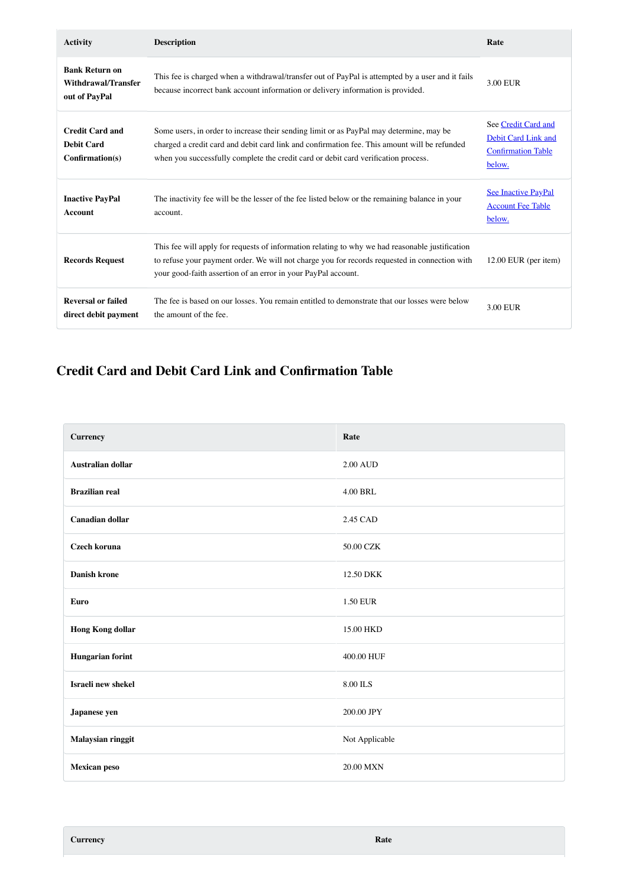| <b>Activity</b>                                                  | <b>Description</b>                                                                                                                                                                                                                                                            | Rate                                                                              |
|------------------------------------------------------------------|-------------------------------------------------------------------------------------------------------------------------------------------------------------------------------------------------------------------------------------------------------------------------------|-----------------------------------------------------------------------------------|
| <b>Bank Return on</b><br>Withdrawal/Transfer<br>out of PayPal    | This fee is charged when a withdrawal/transfer out of PayPal is attempted by a user and it fails<br>because incorrect bank account information or delivery information is provided.                                                                                           | 3.00 EUR                                                                          |
| <b>Credit Card and</b><br><b>Debit Card</b><br>$Confirmation(s)$ | Some users, in order to increase their sending limit or as PayPal may determine, may be<br>charged a credit card and debit card link and confirmation fee. This amount will be refunded<br>when you successfully complete the credit card or debit card verification process. | See Credit Card and<br>Debit Card Link and<br><b>Confirmation Table</b><br>below. |
| <b>Inactive PayPal</b><br><b>Account</b>                         | The inactivity fee will be the lesser of the fee listed below or the remaining balance in your<br>account.                                                                                                                                                                    | <b>See Inactive PayPal</b><br><b>Account Fee Table</b><br>below.                  |
| <b>Records Request</b>                                           | This fee will apply for requests of information relating to why we had reasonable justification<br>to refuse your payment order. We will not charge you for records requested in connection with<br>your good-faith assertion of an error in your PayPal account.             | $12.00$ EUR (per item)                                                            |
| <b>Reversal or failed</b><br>direct debit payment                | The fee is based on our losses. You remain entitled to demonstrate that our losses were below<br>the amount of the fee.                                                                                                                                                       | 3.00 EUR                                                                          |

### <span id="page-3-0"></span>**Credit Card and Debit Card Link and Confirmation Table**

| <b>Currency</b>          | Rate            |
|--------------------------|-----------------|
| <b>Australian dollar</b> | <b>2.00 AUD</b> |
| <b>Brazilian real</b>    | <b>4.00 BRL</b> |
| <b>Canadian dollar</b>   | 2.45 CAD        |
| Czech koruna             | 50.00 CZK       |
| <b>Danish krone</b>      | 12.50 DKK       |
| <b>Euro</b>              | 1.50 EUR        |
| <b>Hong Kong dollar</b>  | 15.00 HKD       |
| <b>Hungarian forint</b>  | 400.00 HUF      |
| Israeli new shekel       | 8.00 ILS        |
| Japanese yen             | 200.00 JPY      |
| Malaysian ringgit        | Not Applicable  |
| <b>Mexican peso</b>      | 20.00 MXN       |